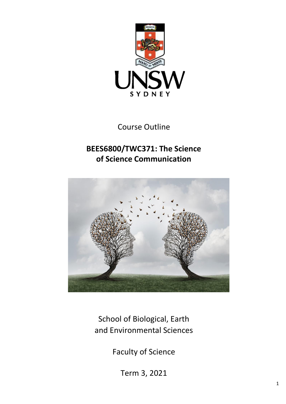

Course Outline

# **BEES6800/TWC371: The Science of Science Communication**



School of Biological, Earth and Environmental Sciences

Faculty of Science

Term 3, 2021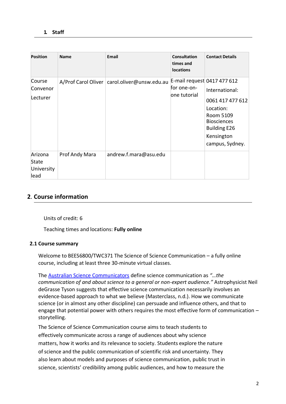| <b>Position</b>                        | <b>Name</b>    | <b>Email</b>                                   | <b>Consultation</b><br>times and<br><b>locations</b>       | <b>Contact Details</b>                                                                                                                     |
|----------------------------------------|----------------|------------------------------------------------|------------------------------------------------------------|--------------------------------------------------------------------------------------------------------------------------------------------|
| Course<br>Convenor<br>Lecturer         |                | A/Prof Carol Oliver   carol oliver@unsw.edu.au | E-mail request 0417 477 612<br>for one-on-<br>one tutorial | International:<br>0061 417 477 612<br>Location:<br>Room 5109<br><b>Biosciences</b><br><b>Building E26</b><br>Kensington<br>campus, Sydney. |
| Arizona<br>State<br>University<br>lead | Prof Andy Mara | andrew.f.mara@asu.edu                          |                                                            |                                                                                                                                            |

## **2**. **Course information**

Units of credit: 6

Teaching times and locations: **Fully online**

#### **2.1 Course summary**

Welcome to BEES6800/TWC371 The Science of Science Communication – a fully online course, including at least three 30-minute virtual classes.

The [Australian Science Communicators](https://www.asc.asn.au/site-help/) define science communication as *"…the communication of and about science to a general or non-expert audience."* Astrophysicist Neil deGrasse Tyson suggests that effective science communication necessarily involves an evidence-based approach to what we believe (Masterclass, n.d.). How we communicate science (or in almost any other discipline) can persuade and influence others, and that to engage that potential power with others requires the most effective form of communication – storytelling.

The Science of Science Communication course aims to teach students to effectively communicate across a range of audiences about why science matters, how it works and its relevance to society. Students explore the nature of science and the public communication of scientific risk and uncertainty. They also learn about models and purposes of science communication, public trust in science, scientists' credibility among public audiences, and how to measure the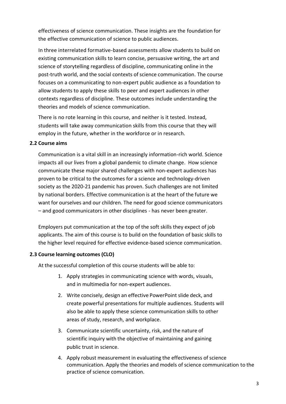effectiveness of science communication. These insights are the foundation for the effective communication of science to public audiences.

In three interrelated formative-based assessments allow students to build on existing communication skills to learn concise, persuasive writing, the art and science of storytelling regardless of discipline, communicating online in the post-truth world, and the social contexts of science communication. The course focuses on a communicating to non-expert public audience as a foundation to allow students to apply these skills to peer and expert audiences in other contexts regardless of discipline. These outcomes include understanding the theories and models of science communication.

There is no rote learning in this course, and neither is it tested. Instead, students will take away communication skills from this course that they will employ in the future, whether in the workforce or in research.

#### **2.2 Course aims**

Communication is a vital skill in an increasingly information-rich world. Science impacts all our lives from a global pandemic to climate change. How science communicate these major shared challenges with non-expert audiences has proven to be critical to the outcomes for a science and technology-driven society as the 2020-21 pandemic has proven. Such challenges are not limited by national borders. Effective communication is at the heart of the future we want for ourselves and our children. The need for good science communicators – and good communicators in other disciplines - has never been greater.

Employers put communication at the top of the soft skills they expect of job applicants. The aim of this course is to build on the foundation of basic skills to the higher level required for effective evidence-based science communication.

#### **2.3 Course learning outcomes (CLO)**

At the successful completion of this course students will be able to:

- 1. Apply strategies in communicating science with words, visuals, and in multimedia for non-expert audiences.
- 2. Write concisely, design an effective PowerPoint slide deck, and create powerful presentations for multiple audiences. Students will also be able to apply these science communication skills to other areas of study, research, and workplace.
- 3. Communicate scientific uncertainty, risk, and the nature of scientific inquiry with the objective of maintaining and gaining public trust in science.
- 4. Apply robust measurement in evaluating the effectiveness of science communication. Apply the theories and models ofscience communication to the practice of science comunication.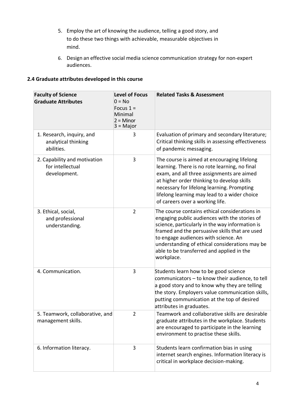- 5. Employ the art of knowing the audience, telling a good story, and to do these two things with achievable, measurable objectives in mind.
- 6. Design an effective social media science communication strategy for non-expert audiences.

### **2.4 Graduate attributes developed in this course**

| <b>Faculty of Science</b><br><b>Graduate Attributes</b>          | <b>Level of Focus</b><br>$0 = No$<br>Focus $1 =$<br>Minimal<br>$2 =$ Minor<br>$3 = Major$ | <b>Related Tasks &amp; Assessment</b>                                                                                                                                                                                                                                                                                                                    |  |  |  |
|------------------------------------------------------------------|-------------------------------------------------------------------------------------------|----------------------------------------------------------------------------------------------------------------------------------------------------------------------------------------------------------------------------------------------------------------------------------------------------------------------------------------------------------|--|--|--|
| 1. Research, inquiry, and<br>analytical thinking<br>abilities.   | 3                                                                                         | Evaluation of primary and secondary literature;<br>Critical thinking skills in assessing effectiveness<br>of pandemic messaging.                                                                                                                                                                                                                         |  |  |  |
| 2. Capability and motivation<br>for intellectual<br>development. | 3                                                                                         | The course is aimed at encouraging lifelong<br>learning. There is no rote learning, no final<br>exam, and all three assignments are aimed<br>at higher order thinking to develop skills<br>necessary for lifelong learning. Prompting<br>lifelong learning may lead to a wider choice<br>of careers over a working life.                                 |  |  |  |
| 3. Ethical, social,<br>and professional<br>understanding.        | $\overline{2}$                                                                            | The course contains ethical considerations in<br>engaging public audiences with the stories of<br>science, particularly in the way information is<br>framed and the persuasive skills that are used<br>to engage audiences with science. An<br>understanding of ethical considerations may be<br>able to be transferred and applied in the<br>workplace. |  |  |  |
| 4. Communication.                                                | 3                                                                                         | Students learn how to be good science<br>communicators - to know their audience, to tell<br>a good story and to know why they are telling<br>the story. Employers value communication skills,<br>putting communication at the top of desired<br>attributes in graduates.                                                                                 |  |  |  |
| 5. Teamwork, collaborative, and<br>management skills.            | $\overline{2}$                                                                            | Teamwork and collaborative skills are desirable<br>graduate attributes in the workplace. Students<br>are encouraged to participate in the learning<br>environment to practise these skills.                                                                                                                                                              |  |  |  |
| 6. Information literacy.                                         | 3                                                                                         | Students learn confirmation bias in using<br>internet search engines. Information literacy is<br>critical in workplace decision-making.                                                                                                                                                                                                                  |  |  |  |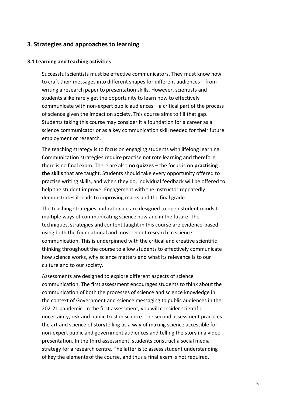#### **3**. **Strategies and approaches to learning**

#### **3.1 Learning and teaching activities**

Successful scientists must be effective communicators. They must know how to craft their messages into different shapes for different audiences – from writing a research paper to presentation skills. However, scientists and students alike rarely get the opportunity to learn how to effectively communicate with non-expert public audiences – a critical part of the process of science given the impact on society. This course aims to fill that gap. Students taking this course may consider it a foundation for a career as a science communicator or as a key communication skill needed for their future employment or research.

The teaching strategy is to focus on engaging students with lifelong learning. Communication strategies require practise not rote learning and therefore there is no final exam. There are also **no quizzes** – the focus is on **practising the skills** that are taught. Students should take every opportunity offered to practise writing skills, and when they do, individual feedback will be offered to help the student improve. Engagement with the instructor repeatedly demonstrates it leads to improving marks and the final grade.

The teaching strategies and rationale are designed to open student minds to multiple ways of communicating science now and in the future. The techniques, strategies and content taught in this course are evidence-based, using both the foundational and most recent research in science communication. This is underpinned with the critical and creative scientific thinking throughout the course to allow students to effectively communicate how science works, why science matters and what its relevance is to our culture and to our society.

Assessments are designed to explore different aspects of science communication. The first assessment encourages students to think about the communication of both the processes of science and science knowledge in the context of Government and science messaging to public audiences in the 202-21 pandemic. In the first assessment, you will consider scientific uncertainty, risk and public trust in science. The second assessment practices the art and science of storytelling as a way of making science accessible for non-expert public and government audiences and telling the story in a video presentation. In the third assessment, students construct a social media strategy for a research centre. The latter is to assess student understanding of key the elements of the course, and thus a final exam is not required.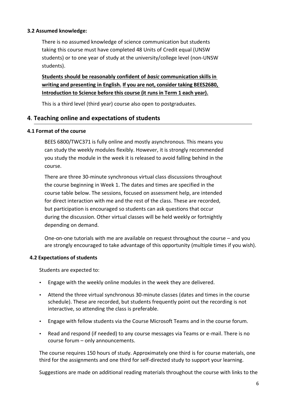#### **3.2 Assumed knowledge:**

There is no assumed knowledge of science communication but students taking this course must have completed 48 Units of Credit equal (UNSW students) or to one year of study at the university/college level (non-UNSW students).

## **Students should be reasonably confident of** *basic* **communication skillsin writing and presenting in English. If you are not, consider taking BEES2680, Introduction to Science before this course (it runs in Term 1 each year).**

This is a third level (third year) course also open to postgraduates.

#### **4**. **Teaching online and expectations of students**

#### **4.1 Format of the course**

BEES 6800/TWC371 is fully online and mostly asynchronous. This means you can study the weekly modules flexibly. However, it is strongly recommended you study the module in the week it is released to avoid falling behind in the course.

There are three 30-minute synchronous virtual class discussions throughout the course beginning in Week 1. The dates and times are specified in the course table below. The sessions, focused on assessment help, are intended for direct interaction with me and the rest of the class. These are recorded, but participation is encouraged so students can ask questions that occur during the discussion. Other virtual classes will be held weekly or fortnightly depending on demand.

One-on-one tutorials with me are available on request throughout the course – and you are strongly encouraged to take advantage of this opportunity (multiple times if you wish).

#### **4.2 Expectations of students**

Students are expected to:

- Engage with the weekly online modules in the week they are delivered.
- Attend the three virtual synchronous 30-minute classes (dates and times in the course schedule). These are recorded, but students frequently point out the recording is not interactive, so attending the class is preferable.
- Engage with fellow students via the Course Microsoft Teams and in the course forum.
- Read and respond (if needed) to any course messages via Teams or e-mail. There is no course forum – only announcements.

The course requires 150 hours of study. Approximately one third is for course materials, one third for the assignments and one third for self-directed study to support your learning.

Suggestions are made on additional reading materials throughout the course with links to the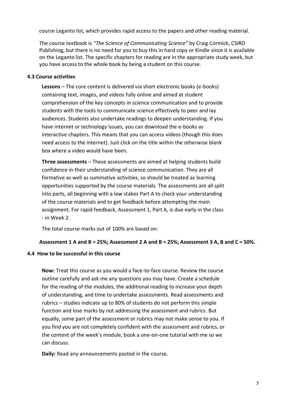course Leganto list, which provides rapid access to the papers and other reading material.

The course textbook is *"The Science of Communicating Science"* by Craig Cormick, CSIRO Publishing, but there is no need for you to buy this in hard copy or Kindle since it is available on the Leganto list. The specific chapters for reading are in the appropriate study week, but you have access to the whole book by being a student on this course.

#### **4.3 Course activities**

**Lessons** – The core content is delivered via short electronic books (e-books) containing text, images, and videos fully online and aimed at student comprehension of the key concepts in science communication and to provide students with the tools to communicate science effectively to peer and lay audiences. Students also undertake readings to deepen understanding. If you have internet or technology issues, you can download the e-books as interactive chapters. This means that you can access videos (though this does need access to the internet). Just click on the title within the otherwise blank box where a video would have been.

**Three assessments** – These assessments are aimed at helping students build confidence in their understanding of science communication. They are all formative as well as summative activities, so should be treated as learning opportunities supported by the course materials. The assessments are all split into parts, all beginning with a low stakes Part A to check your understanding of the course materials and to get feedback before attempting the main assignment. For rapid feedback, Assessment 1, Part A, is due early in the class - in Week 2.

The total course marks out of 100% are based on:

#### **Assessment 1 A and B = 25%; Assessment 2 A and B = 25%; Assessment 3 A, B and C = 50%.**

#### **4.4 How to be successful in this course**

**Now:** Treat this course as you would a face-to-face course. Review the course outline carefully and ask me any questions you may have. Create a schedule for the reading of the modules, the additional reading to increase your depth of understanding, and time to undertake assessments. Read assessments and rubrics – studies indicate up to 80% of students do not perform this simple function and lose marks by not addressing the assessment and rubrics. But equally, some part of the assessment or rubrics may not make sense to you. If you find you are not completely confident with the assessment and rubrics, or the content of the week's module, book a one-on-one tutorial with me so we can discuss.

**Daily:** Read any announcements posted in the course.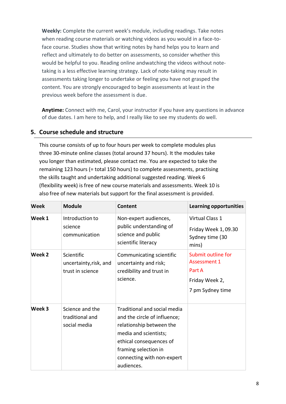**Weekly:** Complete the current week's module, including readings. Take notes when reading course materials or watching videos as you would in a face-toface course. Studies show that writing notes by hand helps you to learn and reflect and ultimately to do better on assessments, so consider whether this would be helpful to you. Reading online andwatching the videos without notetaking is a less effective learning strategy. Lack of note-taking may result in assessments taking longer to undertake or feeling you have not grasped the content. You are strongly encouraged to begin assessments at least in the previous week before the assessment is due.

**Anytime:** Connect with me, Carol, your instructor if you have any questions in advance of due dates. I am here to help, and I really like to see my students do well.

## **5. Course schedule and structure**

This course consists of up to four hours per week to complete modules plus three 30-minute online classes (total around 37 hours). It the modules take you longer than estimated, please contact me. You are expected to take the remaining 123 hours (= total 150 hours) to complete assessments, practising the skills taught and undertaking additional suggested reading. Week 6 (flexibility week) is free of new course materials and assessments. Week 10 is also free of new materials but support for the final assessment is provided.

| <b>Week</b> | <b>Module</b>                                            | Content                                                                                                                                                                                                          | <b>Learning opportunities</b>                                                             |
|-------------|----------------------------------------------------------|------------------------------------------------------------------------------------------------------------------------------------------------------------------------------------------------------------------|-------------------------------------------------------------------------------------------|
| Week 1      | Introduction to<br>science<br>communication              | Non-expert audiences,<br>public understanding of<br>science and public<br>scientific literacy                                                                                                                    | Virtual Class 1<br>Friday Week 1,09.30<br>Sydney time (30<br>mins)                        |
| Week 2      | Scientific<br>uncertainty, risk, and<br>trust in science | Communicating scientific<br>uncertainty and risk;<br>credibility and trust in<br>science.                                                                                                                        | Submit outline for<br><b>Assessment 1</b><br>Part A<br>Friday Week 2,<br>7 pm Sydney time |
| Week 3      | Science and the<br>traditional and<br>social media       | Traditional and social media<br>and the circle of influence;<br>relationship between the<br>media and scientists;<br>ethical consequences of<br>framing selection in<br>connecting with non-expert<br>audiences. |                                                                                           |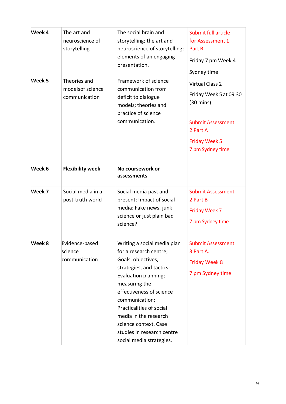| Week 4 | The art and<br>neuroscience of<br>storytelling     | The social brain and<br>storytelling; the art and<br>neuroscience of storytelling;<br>elements of an engaging<br>presentation.                                                                                                                                                                                                         | Submit full article<br>for Assessment 1<br>Part B<br>Friday 7 pm Week 4<br>Sydney time                                                                      |
|--------|----------------------------------------------------|----------------------------------------------------------------------------------------------------------------------------------------------------------------------------------------------------------------------------------------------------------------------------------------------------------------------------------------|-------------------------------------------------------------------------------------------------------------------------------------------------------------|
| Week 5 | Theories and<br>models of science<br>communication | Framework of science<br>communication from<br>deficit to dialogue<br>models; theories and<br>practice of science<br>communication.                                                                                                                                                                                                     | <b>Virtual Class 2</b><br>Friday Week 5 at 09.30<br>$(30 \text{ mins})$<br><b>Submit Assessment</b><br>2 Part A<br><b>Friday Week 5</b><br>7 pm Sydney time |
| Week 6 | <b>Flexibility week</b>                            | No coursework or<br>assessments                                                                                                                                                                                                                                                                                                        |                                                                                                                                                             |
| Week 7 | Social media in a<br>post-truth world              | Social media past and<br>present; Impact of social<br>media; Fake news, junk<br>science or just plain bad<br>science?                                                                                                                                                                                                                  | <b>Submit Assessment</b><br>2 Part B<br>Friday Week 7<br>7 pm Sydney time                                                                                   |
| Week 8 | Evidence-based<br>science<br>communication         | Writing a social media plan<br>for a research centre;<br>Goals, objectives,<br>strategies, and tactics;<br>Evaluation planning;<br>measuring the<br>effectiveness of science<br>communication;<br>Practicalities of social<br>media in the research<br>science context. Case<br>studies in research centre<br>social media strategies. | <b>Submit Assessment</b><br>3 Part A.<br><b>Friday Week 8</b><br>7 pm Sydney time                                                                           |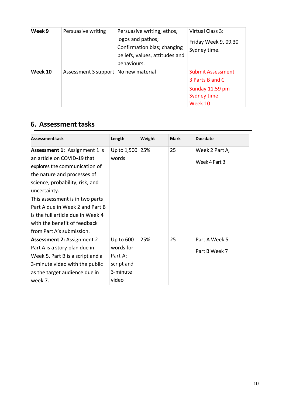| Week 9  | Persuasive writing                     | Persuasive writing; ethos,<br>logos and pathos;<br>Confirmation bias; changing<br>beliefs, values, attitudes and<br>behaviours. | Virtual Class 3:<br>Friday Week 9, 09.30<br>Sydney time.                                 |
|---------|----------------------------------------|---------------------------------------------------------------------------------------------------------------------------------|------------------------------------------------------------------------------------------|
| Week 10 | Assessment 3 support   No new material |                                                                                                                                 | <b>Submit Assessment</b><br>3 Parts B and C<br>Sunday 11.59 pm<br>Sydney time<br>Week 10 |

## **6. Assessment tasks**

| <b>Assessment task</b>                                                                                                                                                                                                                                                                                                                                             | Length                                                               | Weight | <b>Mark</b> | Due date                        |
|--------------------------------------------------------------------------------------------------------------------------------------------------------------------------------------------------------------------------------------------------------------------------------------------------------------------------------------------------------------------|----------------------------------------------------------------------|--------|-------------|---------------------------------|
| <b>Assessment 1: Assignment 1 is</b><br>an article on COVID-19 that<br>explores the communication of<br>the nature and processes of<br>science, probability, risk, and<br>uncertainty.<br>This assessment is in two parts $-$<br>Part A due in Week 2 and Part B<br>is the full article due in Week 4<br>with the benefit of feedback<br>from Part A's submission. | Up to $1,500$<br>words                                               | 25%    | 25          | Week 2 Part A,<br>Week 4 Part B |
| <b>Assessment 2: Assignment 2</b><br>Part A is a story plan due in<br>Week 5. Part B is a script and a<br>3-minute video with the public<br>as the target audience due in<br>week 7.                                                                                                                                                                               | Up to 600<br>words for<br>Part A;<br>script and<br>3-minute<br>video | 25%    | 25          | Part A Week 5<br>Part B Week 7  |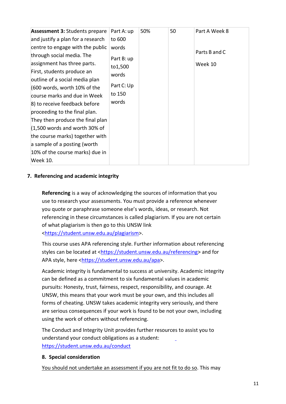| <b>Assessment 3: Students prepare</b><br>and justify a plan for a research<br>centre to engage with the public<br>through social media. The<br>assignment has three parts. | Part A: up<br>to 600<br>words<br>Part B: up | 50% | 50 | Part A Week 8<br>Parts B and C<br>Week 10 |
|----------------------------------------------------------------------------------------------------------------------------------------------------------------------------|---------------------------------------------|-----|----|-------------------------------------------|
| First, students produce an<br>outline of a social media plan<br>$(600$ words, worth 10% of the                                                                             | to1,500<br>words<br>Part C: Up              |     |    |                                           |
| course marks and due in Week                                                                                                                                               | to 150<br>words                             |     |    |                                           |
| 8) to receive feedback before<br>proceeding to the final plan.                                                                                                             |                                             |     |    |                                           |
| They then produce the final plan<br>$(1,500$ words and worth 30% of                                                                                                        |                                             |     |    |                                           |
| the course marks) together with                                                                                                                                            |                                             |     |    |                                           |
| a sample of a posting (worth<br>10% of the course marks) due in                                                                                                            |                                             |     |    |                                           |
| Week 10.                                                                                                                                                                   |                                             |     |    |                                           |

#### **7. Referencing and academic integrity**

**Referencing** is a way of acknowledging the sources of information that you use to research your assessments. You must provide a reference whenever you quote or paraphrase someone else's words, ideas, or research. Not referencing in these circumstances is called plagiarism. If you are not certain of what plagiarism is then go to this UNSW link [<https://student.unsw.edu.au/plagiarism>](https://student.unsw.edu.au/plagiarism).

This course uses APA referencing style. Further information about referencing styles can be located at [<https://student.unsw.edu.au/referencing>](https://student.unsw.edu.au/referencing) and for APA style, here [<https://student.unsw.edu.au/apa>](https://student.unsw.edu.au/apa).

Academic integrity is fundamental to success at university. Academic integrity can be defined as a commitment to six fundamental values in academic pursuits: Honesty, trust, fairness, respect, responsibility, and courage. At UNSW, this means that your work must be your own, and this includes all forms of cheating. UNSW takes academic integrity very seriously, and there are serious consequences if your work is found to be not your own, including using the work of others without referencing.

The Conduct and Integrity Unit provides further resources to assist you to understand your conduct obligations as a student: <https://student.unsw.edu.au/conduct>

#### **8. Special consideration**

You should not undertake an assessment if you are not fit to do so. This may